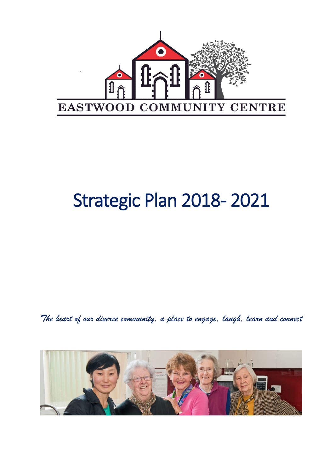

# Strategic Plan 2018- 2021

*The heart of our diverse community, a place to engage, laugh, learn and connect*

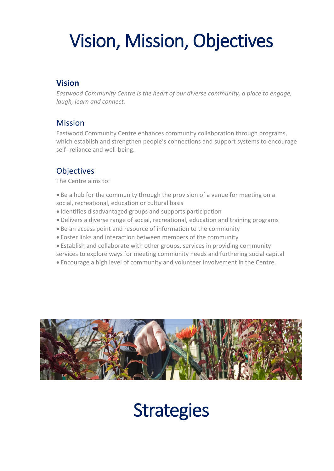# Vision, Mission, Objectives

# **Vision**

*Eastwood Community Centre is the heart of our diverse community, a place to engage, laugh, learn and connect.*

### Mission

Eastwood Community Centre enhances community collaboration through programs, which establish and strengthen people's connections and support systems to encourage self- reliance and well-being.

# **Objectives**

The Centre aims to:

- Be a hub for the community through the provision of a venue for meeting on a social, recreational, education or cultural basis
- Identifies disadvantaged groups and supports participation
- Delivers a diverse range of social, recreational, education and training programs
- Be an access point and resource of information to the community
- Foster links and interaction between members of the community
- Establish and collaborate with other groups, services in providing community
- services to explore ways for meeting community needs and furthering social capital
- Encourage a high level of community and volunteer involvement in the Centre.



# **Strategies**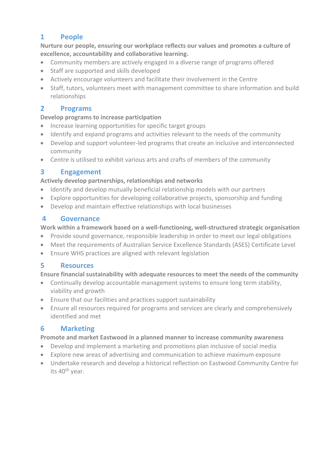### **1 People**

**Nurture our people, ensuring our workplace reflects our values and promotes a culture of excellence, accountability and collaborative learning.** 

- Community members are actively engaged in a diverse range of programs offered
- Staff are supported and skills developed
- Actively encourage volunteers and facilitate their involvement in the Centre
- Staff, tutors, volunteers meet with management committee to share information and build relationships

#### **2 Programs**

#### **Develop programs to increase participation**

- Increase learning opportunities for specific target groups
- Identify and expand programs and activities relevant to the needs of the community
- Develop and support volunteer-led programs that create an inclusive and interconnected community
- Centre is utilised to exhibit various arts and crafts of members of the community

#### **3 Engagement**

#### **Actively develop partnerships, relationships and networks**

- Identify and develop mutually beneficial relationship models with our partners
- Explore opportunities for developing collaborative projects, sponsorship and funding
- Develop and maintain effective relationships with local businesses

#### **4 Governance**

#### **Work within a framework based on a well-functioning, well-structured strategic organisation**

- Provide sound governance, responsible leadership in order to meet our legal obligations
- Meet the requirements of Australian Service Excellence Standards (ASES) Certificate Level
- Ensure WHS practices are aligned with relevant legislation

#### **5 Resources**

#### **Ensure financial sustainability with adequate resources to meet the needs of the community**

- Continually develop accountable management systems to ensure long term stability, viability and growth
- Ensure that our facilities and practices support sustainability
- Ensure all resources required for programs and services are clearly and comprehensively identified and met

#### **6 Marketing**

#### **Promote and market Eastwood in a planned manner to increase community awareness**

- Develop and implement a marketing and promotions plan inclusive of social media
- Explore new areas of advertising and communication to achieve maximum exposure
- Undertake research and develop a historical reflection on Eastwood Community Centre for its 40<sup>th</sup> year.